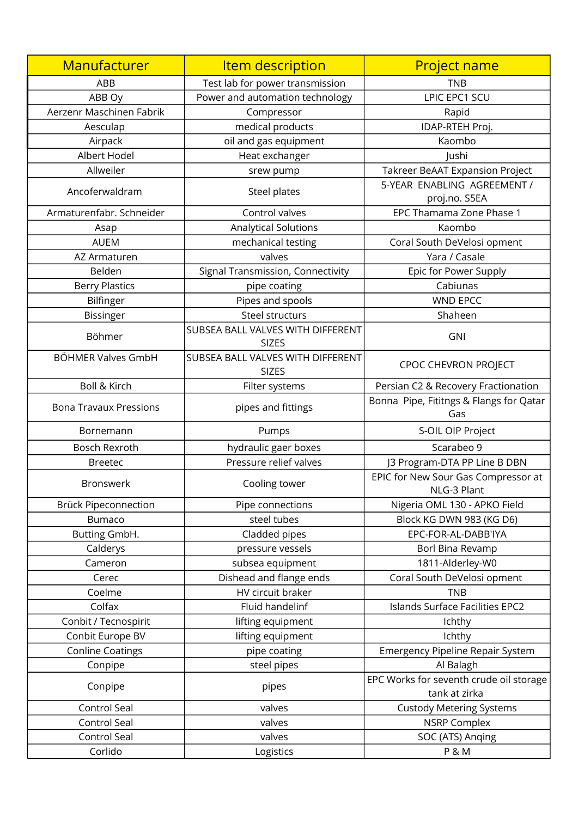| Manufacturer                  | <b>Item description</b>                           | <b>Project name</b>                                      |
|-------------------------------|---------------------------------------------------|----------------------------------------------------------|
| ABB                           | Test lab for power transmission                   | <b>TNB</b>                                               |
| ABB Oy                        | Power and automation technology                   | LPIC EPC1 SCU                                            |
| Aerzenr Maschinen Fabrik      | Compressor                                        | Rapid                                                    |
| Aesculap                      | medical products                                  | IDAP-RTEH Proj.                                          |
| Airpack                       | oil and gas equipment                             | Kaombo                                                   |
| Albert Hodel                  | Heat exchanger                                    | lushi                                                    |
| Allweiler                     | srew pump                                         | Takreer BeAAT Expansion Project                          |
| Ancoferwaldram                | Steel plates                                      | 5-YEAR ENABLING AGREEMENT /<br>proj.no. S5EA             |
| Armaturenfabr. Schneider      | Control valves                                    | EPC Thamama Zone Phase 1                                 |
| Asap                          | Analytical Solutions                              | Kaombo                                                   |
| <b>AUEM</b>                   | mechanical testing                                | Coral South DeVelosi opment                              |
| AZ Armaturen                  | valves                                            | Yara / Casale                                            |
| Belden                        | Signal Transmission, Connectivity                 | Epic for Power Supply                                    |
| <b>Berry Plastics</b>         | pipe coating                                      | Cabiunas                                                 |
| Bilfinger                     | Pipes and spools                                  | <b>WND EPCC</b>                                          |
| <b>Bissinger</b>              | Steel structurs                                   | Shaheen                                                  |
| Böhmer                        | SUBSEA BALL VALVES WITH DIFFERENT<br><b>SIZES</b> | GNI                                                      |
| BÖHMER Valves GmbH            | SUBSEA BALL VALVES WITH DIFFERENT<br><b>SIZES</b> | CPOC CHEVRON PROJECT                                     |
| <b>Boll &amp; Kirch</b>       | Filter systems                                    | Persian C2 & Recovery Fractionation                      |
| <b>Bona Travaux Pressions</b> | pipes and fittings                                | Bonna Pipe, Fititngs & Flangs for Qatar<br>Gas           |
| Bornemann                     | Pumps                                             | S-OIL OIP Project                                        |
| <b>Bosch Rexroth</b>          | hydraulic gaer boxes                              | Scarabeo 9                                               |
| <b>Breetec</b>                | Pressure relief valves                            | J3 Program-DTA PP Line B DBN                             |
| <b>Bronswerk</b>              | Cooling tower                                     | EPIC for New Sour Gas Compressor at<br>NLG-3 Plant       |
| Brück Pipeconnection          | Pipe connections                                  | Nigeria OML 130 - APKO Field                             |
| <b>Bumaco</b>                 | steel tubes                                       | Block KG DWN 983 (KG D6)                                 |
| Butting GmbH.                 | Cladded pipes                                     | EPC-FOR-AL-DABB'IYA                                      |
| Calderys                      | pressure vessels                                  | Borl Bina Revamp                                         |
| Cameron                       | subsea equipment                                  | 1811-Alderley-W0                                         |
| Cerec                         | Dishead and flange ends                           | Coral South DeVelosi opment                              |
| Coelme                        | HV circuit braker                                 | <b>TNB</b>                                               |
| Colfax                        | Fluid handelinf                                   | Islands Surface Facilities EPC2                          |
| Conbit / Tecnospirit          | lifting equipment                                 | Ichthy                                                   |
| Conbit Europe BV              | lifting equipment                                 | Ichthy                                                   |
| <b>Conline Coatings</b>       | pipe coating                                      | <b>Emergency Pipeline Repair System</b>                  |
| Conpipe                       | steel pipes                                       | Al Balagh                                                |
| Conpipe                       | pipes                                             | EPC Works for seventh crude oil storage<br>tank at zirka |
| Control Seal                  | valves                                            | <b>Custody Metering Systems</b>                          |
| Control Seal                  | valves                                            | <b>NSRP Complex</b>                                      |
| Control Seal                  | valves                                            | SOC (ATS) Anging                                         |
| Corlido                       | Logistics                                         | P & M                                                    |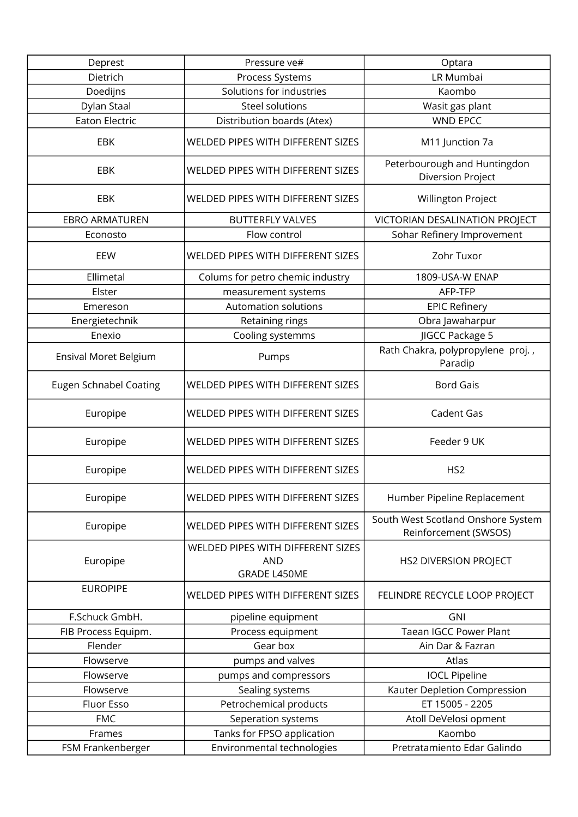| Deprest                       | Pressure ve#                                                           | Optara                                                      |
|-------------------------------|------------------------------------------------------------------------|-------------------------------------------------------------|
| Dietrich                      | Process Systems                                                        | LR Mumbai                                                   |
| Doedijns                      | Solutions for industries                                               | Kaombo                                                      |
| Dylan Staal                   | Steel solutions                                                        | Wasit gas plant                                             |
| <b>Eaton Electric</b>         | Distribution boards (Atex)                                             | <b>WND EPCC</b>                                             |
| EBK                           | WELDED PIPES WITH DIFFERENT SIZES                                      | M11 Junction 7a                                             |
| <b>EBK</b>                    | <b>WELDED PIPES WITH DIFFERENT SIZES</b>                               | Peterbourough and Huntingdon<br>Diversion Project           |
| <b>EBK</b>                    | WELDED PIPES WITH DIFFERENT SIZES                                      | Willington Project                                          |
| <b>EBRO ARMATUREN</b>         | <b>BUTTERFLY VALVES</b>                                                | VICTORIAN DESALINATION PROJECT                              |
| Econosto                      | Flow control                                                           | Sohar Refinery Improvement                                  |
| EEW                           | WELDED PIPES WITH DIFFERENT SIZES                                      | Zohr Tuxor                                                  |
| Ellimetal                     | Colums for petro chemic industry                                       | 1809-USA-W ENAP                                             |
| Elster                        | measurement systems                                                    | AFP-TFP                                                     |
| Emereson                      | <b>Automation solutions</b>                                            | <b>EPIC Refinery</b>                                        |
| Energietechnik                | Retaining rings                                                        | Obra Jawaharpur                                             |
| Enexio                        | Cooling systemms                                                       | JIGCC Package 5                                             |
| Ensival Moret Belgium         | Pumps                                                                  | Rath Chakra, polypropylene proj.,<br>Paradip                |
| <b>Eugen Schnabel Coating</b> | WELDED PIPES WITH DIFFERENT SIZES                                      | <b>Bord Gais</b>                                            |
| Europipe                      | WELDED PIPES WITH DIFFERENT SIZES                                      | Cadent Gas                                                  |
| Europipe                      | WELDED PIPES WITH DIFFERENT SIZES                                      | Feeder 9 UK                                                 |
| Europipe                      | WELDED PIPES WITH DIFFERENT SIZES                                      | HS <sub>2</sub>                                             |
| Europipe                      | WELDED PIPES WITH DIFFERENT SIZES                                      | Humber Pipeline Replacement                                 |
| Europipe                      | WELDED PIPES WITH DIFFERENT SIZES                                      | South West Scotland Onshore System<br>Reinforcement (SWSOS) |
| Europipe                      | WELDED PIPES WITH DIFFERENT SIZES<br><b>AND</b><br><b>GRADE L450ME</b> | <b>HS2 DIVERSION PROJECT</b>                                |
| <b>EUROPIPE</b>               | WELDED PIPES WITH DIFFERENT SIZES                                      | FELINDRE RECYCLE LOOP PROJECT                               |
| F.Schuck GmbH.                | pipeline equipment                                                     | <b>GNI</b>                                                  |
| FIB Process Equipm.           | Process equipment                                                      | <b>Taean IGCC Power Plant</b>                               |
| Flender                       | Gear box                                                               | Ain Dar & Fazran                                            |
| Flowserve                     | pumps and valves                                                       | Atlas                                                       |
| Flowserve                     | pumps and compressors                                                  | <b>IOCL Pipeline</b>                                        |
| Flowserve                     | Sealing systems                                                        | Kauter Depletion Compression                                |
| Fluor Esso                    | Petrochemical products                                                 | ET 15005 - 2205                                             |
| <b>FMC</b>                    | Seperation systems                                                     | Atoll DeVelosi opment                                       |
| Frames                        | Tanks for FPSO application                                             | Kaombo                                                      |
| FSM Frankenberger             | Environmental technologies                                             | Pretratamiento Edar Galindo                                 |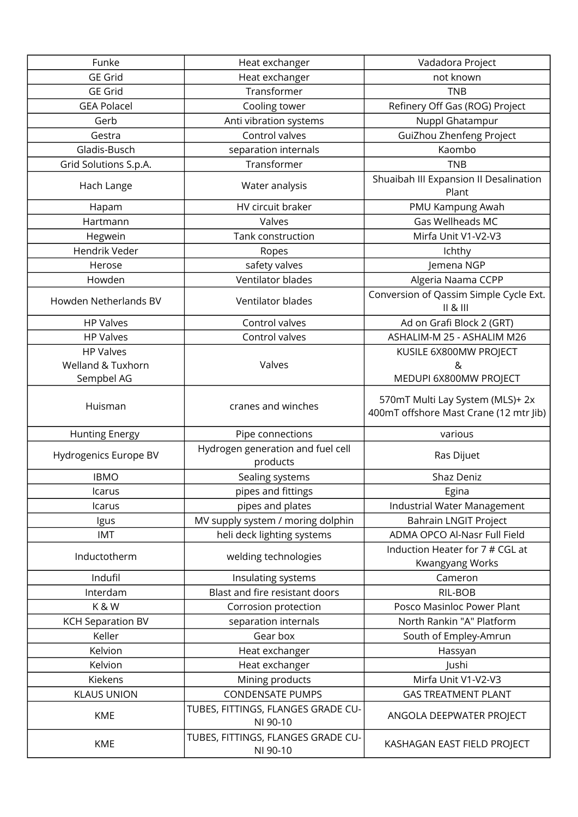| Funke                    | Heat exchanger                                 | Vadadora Project                                                           |
|--------------------------|------------------------------------------------|----------------------------------------------------------------------------|
| <b>GE Grid</b>           | Heat exchanger                                 | not known                                                                  |
| <b>GE Grid</b>           | Transformer                                    | <b>TNB</b>                                                                 |
| <b>GEA Polacel</b>       | Cooling tower                                  | Refinery Off Gas (ROG) Project                                             |
| Gerb                     | Anti vibration systems                         | Nuppl Ghatampur                                                            |
| Gestra                   | Control valves                                 | GuiZhou Zhenfeng Project                                                   |
| Gladis-Busch             | separation internals                           | Kaombo                                                                     |
| Grid Solutions S.p.A.    | Transformer                                    | <b>TNB</b>                                                                 |
| Hach Lange               | Water analysis                                 | Shuaibah III Expansion II Desalination<br>Plant                            |
| Hapam                    | HV circuit braker                              | PMU Kampung Awah                                                           |
| Hartmann                 | Valves                                         | Gas Wellheads MC                                                           |
| Hegwein                  | Tank construction                              | Mirfa Unit V1-V2-V3                                                        |
| Hendrik Veder            | Ropes                                          | Ichthy                                                                     |
| Herose                   | safety valves                                  | Jemena NGP                                                                 |
| Howden                   | Ventilator blades                              | Algeria Naama CCPP                                                         |
| Howden Netherlands BV    | Ventilator blades                              | Conversion of Qassim Simple Cycle Ext.<br>   8                             |
| <b>HP Valves</b>         | Control valves                                 | Ad on Grafi Block 2 (GRT)                                                  |
| <b>HP Valves</b>         | Control valves                                 | ASHALIM-M 25 - ASHALIM M26                                                 |
| <b>HP Valves</b>         |                                                | KUSILE 6X800MW PROJECT                                                     |
| Welland & Tuxhorn        | Valves                                         | &                                                                          |
| Sempbel AG               |                                                | MEDUPI 6X800MW PROJECT                                                     |
| Huisman                  | cranes and winches                             | 570mT Multi Lay System (MLS)+ 2x<br>400mT offshore Mast Crane (12 mtr Jib) |
| <b>Hunting Energy</b>    | Pipe connections                               | various                                                                    |
| Hydrogenics Europe BV    | Hydrogen generation and fuel cell<br>products  | Ras Dijuet                                                                 |
| <b>IBMO</b>              | Sealing systems                                | Shaz Deniz                                                                 |
| Icarus                   | pipes and fittings                             | Egina                                                                      |
| Icarus                   | pipes and plates                               | Industrial Water Management                                                |
| Igus                     | MV supply system / moring dolphin              | <b>Bahrain LNGIT Project</b>                                               |
| IMT                      | heli deck lighting systems                     | ADMA OPCO Al-Nasr Full Field                                               |
| Inductotherm             | welding technologies                           | Induction Heater for 7 # CGL at<br>Kwangyang Works                         |
| Indufil                  | Insulating systems                             | Cameron                                                                    |
| Interdam                 | Blast and fire resistant doors                 | RIL-BOB                                                                    |
| K&W                      | Corrosion protection                           | Posco Masinloc Power Plant                                                 |
| <b>KCH Separation BV</b> | separation internals                           | North Rankin "A" Platform                                                  |
| Keller                   | Gear box                                       | South of Empley-Amrun                                                      |
| Kelvion                  | Heat exchanger                                 | Hassyan                                                                    |
| Kelvion                  | Heat exchanger                                 | Jushi                                                                      |
| Kiekens                  | Mining products                                | Mirfa Unit V1-V2-V3                                                        |
| <b>KLAUS UNION</b>       | <b>CONDENSATE PUMPS</b>                        | <b>GAS TREATMENT PLANT</b>                                                 |
| <b>KME</b>               | TUBES, FITTINGS, FLANGES GRADE CU-<br>NI 90-10 | ANGOLA DEEPWATER PROJECT                                                   |
| KME                      | TUBES, FITTINGS, FLANGES GRADE CU-<br>NI 90-10 | KASHAGAN EAST FIELD PROJECT                                                |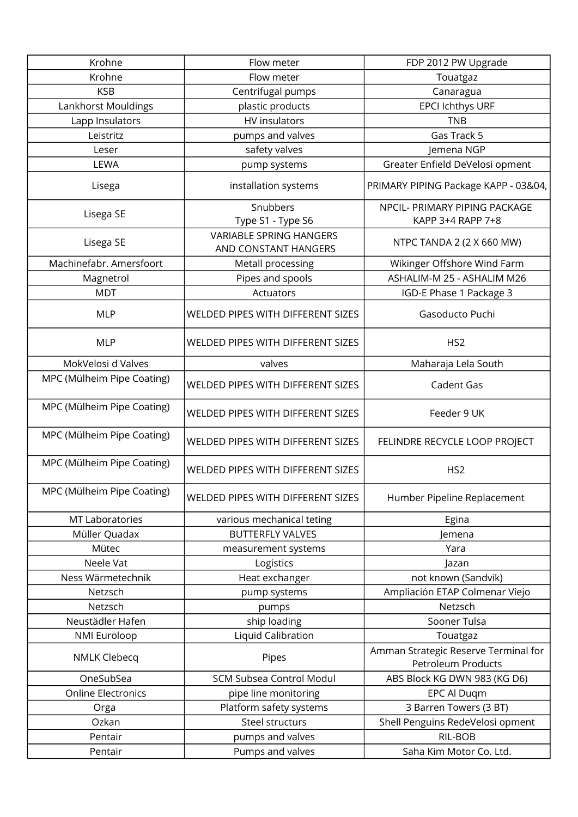| Krohne                     | Flow meter                                             | FDP 2012 PW Upgrade                                        |
|----------------------------|--------------------------------------------------------|------------------------------------------------------------|
| Krohne                     | Flow meter                                             | Touatgaz                                                   |
| <b>KSB</b>                 | Centrifugal pumps                                      | Canaragua                                                  |
| Lankhorst Mouldings        | plastic products                                       | EPCI Ichthys URF                                           |
| Lapp Insulators            | HV insulators                                          | <b>TNB</b>                                                 |
| Leistritz                  | pumps and valves                                       | Gas Track 5                                                |
| Leser                      | safety valves                                          | Jemena NGP                                                 |
| LEWA                       | pump systems                                           | Greater Enfield DeVelosi opment                            |
| Lisega                     | installation systems                                   | PRIMARY PIPING Package KAPP - 03&04,                       |
| Lisega SE                  | Snubbers<br>Type S1 - Type S6                          | NPCIL- PRIMARY PIPING PACKAGE<br>KAPP 3+4 RAPP 7+8         |
| Lisega SE                  | <b>VARIABLE SPRING HANGERS</b><br>AND CONSTANT HANGERS | NTPC TANDA 2 (2 X 660 MW)                                  |
| Machinefabr. Amersfoort    | Metall processing                                      | Wikinger Offshore Wind Farm                                |
| Magnetrol                  | Pipes and spools                                       | ASHALIM-M 25 - ASHALIM M26                                 |
| <b>MDT</b>                 | Actuators                                              | IGD-E Phase 1 Package 3                                    |
| <b>MLP</b>                 | WELDED PIPES WITH DIFFERENT SIZES                      | Gasoducto Puchi                                            |
| <b>MLP</b>                 | WELDED PIPES WITH DIFFERENT SIZES                      | HS <sub>2</sub>                                            |
| MokVelosi d Valves         | valves                                                 | Maharaja Lela South                                        |
| MPC (Mülheim Pipe Coating) | WELDED PIPES WITH DIFFERENT SIZES                      | Cadent Gas                                                 |
| MPC (Mülheim Pipe Coating) | WELDED PIPES WITH DIFFERENT SIZES                      | Feeder 9 UK                                                |
| MPC (Mülheim Pipe Coating) | <b>WELDED PIPES WITH DIFFERENT SIZES</b>               | FELINDRE RECYCLE LOOP PROJECT                              |
| MPC (Mülheim Pipe Coating) | WELDED PIPES WITH DIFFERENT SIZES                      | HS <sub>2</sub>                                            |
| MPC (Mülheim Pipe Coating) | WELDED PIPES WITH DIFFERENT SIZES                      | Humber Pipeline Replacement                                |
| <b>MT Laboratories</b>     | various mechanical teting                              | Egina                                                      |
| Müller Quadax              | <b>BUTTERFLY VALVES</b>                                | Jemena                                                     |
| Mütec                      | measurement systems                                    | Yara                                                       |
| Neele Vat                  | Logistics                                              | Jazan                                                      |
| Ness Wärmetechnik          | Heat exchanger                                         | not known (Sandvik)                                        |
| Netzsch                    | pump systems                                           | Ampliación ETAP Colmenar Viejo                             |
| Netzsch                    | pumps                                                  | Netzsch                                                    |
| Neustädler Hafen           | ship loading                                           | Sooner Tulsa                                               |
| <b>NMI Euroloop</b>        | Liquid Calibration                                     | Touatgaz                                                   |
| <b>NMLK Clebecq</b>        | Pipes                                                  | Amman Strategic Reserve Terminal for<br>Petroleum Products |
| OneSubSea                  | <b>SCM Subsea Control Modul</b>                        | ABS Block KG DWN 983 (KG D6)                               |
| <b>Online Electronics</b>  | pipe line monitoring                                   | EPC Al Duqm                                                |
| Orga                       | Platform safety systems                                | 3 Barren Towers (3 BT)                                     |
| Ozkan                      | Steel structurs                                        | Shell Penguins RedeVelosi opment                           |
| Pentair                    | pumps and valves                                       | RIL-BOB                                                    |
| Pentair                    | Pumps and valves                                       | Saha Kim Motor Co. Ltd.                                    |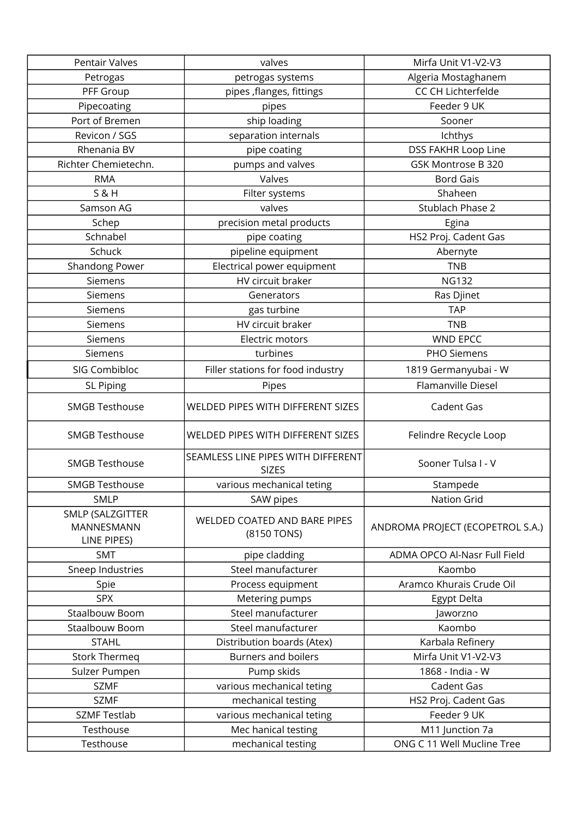| Pentair Valves                                       | valves                                             | Mirfa Unit V1-V2-V3              |
|------------------------------------------------------|----------------------------------------------------|----------------------------------|
| Petrogas                                             | petrogas systems                                   | Algeria Mostaghanem              |
| PFF Group                                            | pipes , flanges, fittings                          | CC CH Lichterfelde               |
| Pipecoating                                          | pipes                                              | Feeder 9 UK                      |
| Port of Bremen                                       | ship loading                                       | Sooner                           |
| Revicon / SGS                                        | separation internals                               | Ichthys                          |
| Rhenania BV                                          | pipe coating                                       | DSS FAKHR Loop Line              |
| Richter Chemietechn.                                 | pumps and valves                                   | GSK Montrose B 320               |
| <b>RMA</b>                                           | Valves                                             | <b>Bord Gais</b>                 |
| <b>S&amp;H</b>                                       | Filter systems                                     | Shaheen                          |
| Samson AG                                            | valves                                             | Stublach Phase 2                 |
| Schep                                                | precision metal products                           | Egina                            |
| Schnabel                                             | pipe coating                                       | HS2 Proj. Cadent Gas             |
| Schuck                                               | pipeline equipment                                 | Abernyte                         |
| Shandong Power                                       | Electrical power equipment                         | <b>TNB</b>                       |
| Siemens                                              | HV circuit braker                                  | <b>NG132</b>                     |
| Siemens                                              | Generators                                         | Ras Djinet                       |
| Siemens                                              | gas turbine                                        | <b>TAP</b>                       |
| Siemens                                              | HV circuit braker                                  | <b>TNB</b>                       |
| Siemens                                              | Electric motors                                    | <b>WND EPCC</b>                  |
| Siemens                                              | turbines                                           | PHO Siemens                      |
| SIG Combibloc                                        | Filler stations for food industry                  | 1819 Germanyubai - W             |
| <b>SL Piping</b>                                     | Pipes                                              | Flamanville Diesel               |
| <b>SMGB Testhouse</b>                                | WELDED PIPES WITH DIFFERENT SIZES                  | Cadent Gas                       |
| <b>SMGB Testhouse</b>                                | WELDED PIPES WITH DIFFERENT SIZES                  | Felindre Recycle Loop            |
| <b>SMGB Testhouse</b>                                | SEAMLESS LINE PIPES WITH DIFFERENT<br><b>SIZES</b> | Sooner Tulsa I - V               |
| <b>SMGB Testhouse</b>                                | various mechanical teting                          | Stampede                         |
| <b>SMLP</b>                                          | SAW pipes                                          | <b>Nation Grid</b>               |
| SMLP (SALZGITTER<br><b>MANNESMANN</b><br>LINE PIPES) | WELDED COATED AND BARE PIPES<br>(8150 TONS)        | ANDROMA PROJECT (ECOPETROL S.A.) |
| <b>SMT</b>                                           | pipe cladding                                      | ADMA OPCO Al-Nasr Full Field     |
| Sneep Industries                                     | Steel manufacturer                                 | Kaombo                           |
| Spie                                                 | Process equipment                                  | Aramco Khurais Crude Oil         |
| <b>SPX</b>                                           | Metering pumps                                     | Egypt Delta                      |
| Staalbouw Boom                                       | Steel manufacturer                                 | Jaworzno                         |
| Staalbouw Boom                                       | Steel manufacturer                                 | Kaombo                           |
| <b>STAHL</b>                                         | Distribution boards (Atex)                         | Karbala Refinery                 |
| <b>Stork Thermeg</b>                                 | <b>Burners and boilers</b>                         | Mirfa Unit V1-V2-V3              |
| Sulzer Pumpen                                        | Pump skids                                         | 1868 - India - W                 |
| <b>SZMF</b>                                          | various mechanical teting                          | Cadent Gas                       |
| <b>SZMF</b>                                          | mechanical testing                                 | HS2 Proj. Cadent Gas             |
| <b>SZMF Testlab</b>                                  | various mechanical teting                          | Feeder 9 UK                      |
| Testhouse                                            | Mec hanical testing                                | M11 Junction 7a                  |
| Testhouse                                            | mechanical testing                                 | ONG C 11 Well Mucline Tree       |
|                                                      |                                                    |                                  |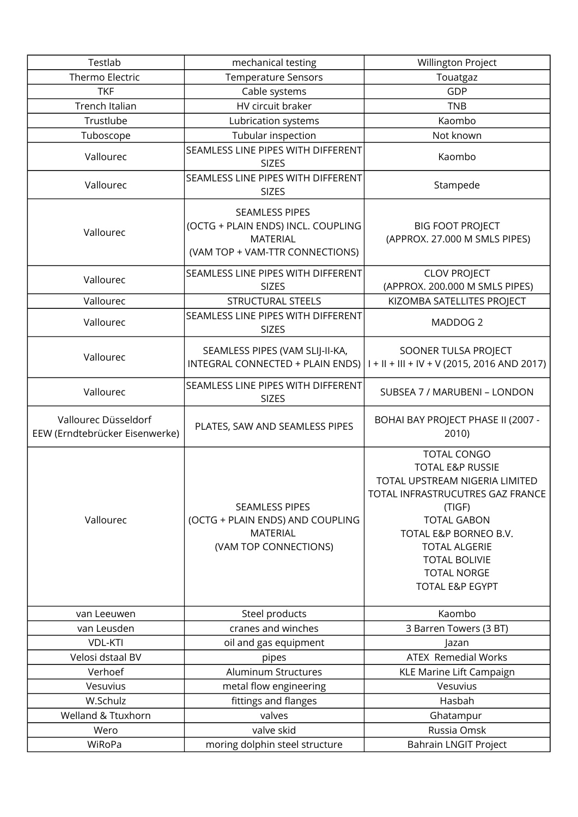| Testlab                                                | mechanical testing                                                                                                | Willington Project                                                                                                                                                                                                                                                        |
|--------------------------------------------------------|-------------------------------------------------------------------------------------------------------------------|---------------------------------------------------------------------------------------------------------------------------------------------------------------------------------------------------------------------------------------------------------------------------|
| Thermo Electric                                        | <b>Temperature Sensors</b>                                                                                        | Touatgaz                                                                                                                                                                                                                                                                  |
| <b>TKF</b>                                             | Cable systems                                                                                                     | GDP                                                                                                                                                                                                                                                                       |
| Trench Italian                                         | HV circuit braker                                                                                                 | <b>TNB</b>                                                                                                                                                                                                                                                                |
| Trustlube                                              | Lubrication systems                                                                                               | Kaombo                                                                                                                                                                                                                                                                    |
| Tuboscope                                              | Tubular inspection                                                                                                | Not known                                                                                                                                                                                                                                                                 |
| Vallourec                                              | SEAMLESS LINE PIPES WITH DIFFERENT<br><b>SIZES</b>                                                                | Kaombo                                                                                                                                                                                                                                                                    |
| Vallourec                                              | SEAMLESS LINE PIPES WITH DIFFERENT<br><b>SIZES</b>                                                                | Stampede                                                                                                                                                                                                                                                                  |
| Vallourec                                              | <b>SEAMLESS PIPES</b><br>(OCTG + PLAIN ENDS) INCL. COUPLING<br><b>MATERIAL</b><br>(VAM TOP + VAM-TTR CONNECTIONS) | <b>BIG FOOT PROJECT</b><br>(APPROX. 27.000 M SMLS PIPES)                                                                                                                                                                                                                  |
| Vallourec                                              | SEAMLESS LINE PIPES WITH DIFFERENT<br><b>SIZES</b>                                                                | <b>CLOV PROJECT</b><br>(APPROX. 200.000 M SMLS PIPES)                                                                                                                                                                                                                     |
| Vallourec                                              | STRUCTURAL STEELS                                                                                                 | KIZOMBA SATELLITES PROJECT                                                                                                                                                                                                                                                |
| Vallourec                                              | SEAMLESS LINE PIPES WITH DIFFERENT<br><b>SIZES</b>                                                                | MADDOG <sub>2</sub>                                                                                                                                                                                                                                                       |
| Vallourec                                              | SEAMLESS PIPES (VAM SLIJ-II-KA,<br>INTEGRAL CONNECTED + PLAIN ENDS)                                               | SOONER TULSA PROJECT<br>$I + II + III + IV + V (2015, 2016 AND 2017)$                                                                                                                                                                                                     |
| Vallourec                                              | SEAMLESS LINE PIPES WITH DIFFERENT<br><b>SIZES</b>                                                                | SUBSEA 7 / MARUBENI - LONDON                                                                                                                                                                                                                                              |
| Vallourec Düsseldorf<br>EEW (Erndtebrücker Eisenwerke) | PLATES, SAW AND SEAMLESS PIPES                                                                                    | BOHAI BAY PROJECT PHASE II (2007 -<br>2010)                                                                                                                                                                                                                               |
| Vallourec                                              | <b>SEAMLESS PIPES</b><br>(OCTG + PLAIN ENDS) AND COUPLING<br><b>MATERIAL</b><br>(VAM TOP CONNECTIONS)             | <b>TOTAL CONGO</b><br><b>TOTAL E&amp;P RUSSIE</b><br>TOTAL UPSTREAM NIGERIA LIMITED<br>TOTAL INFRASTRUCUTRES GAZ FRANCE<br>(TIGF)<br><b>TOTAL GABON</b><br>TOTAL E&P BORNEO B.V.<br><b>TOTAL ALGERIE</b><br><b>TOTAL BOLIVIE</b><br><b>TOTAL NORGE</b><br>TOTAL E&P EGYPT |
| van Leeuwen                                            | Steel products                                                                                                    | Kaombo                                                                                                                                                                                                                                                                    |
| van Leusden                                            | cranes and winches                                                                                                | 3 Barren Towers (3 BT)                                                                                                                                                                                                                                                    |
| <b>VDL-KTI</b>                                         | oil and gas equipment                                                                                             | Jazan                                                                                                                                                                                                                                                                     |
| Velosi dstaal BV                                       | pipes                                                                                                             | <b>ATEX Remedial Works</b>                                                                                                                                                                                                                                                |
| Verhoef                                                | Aluminum Structures                                                                                               | KLE Marine Lift Campaign                                                                                                                                                                                                                                                  |
| Vesuvius                                               | metal flow engineering                                                                                            | Vesuvius                                                                                                                                                                                                                                                                  |
| W.Schulz                                               | fittings and flanges                                                                                              | Hasbah                                                                                                                                                                                                                                                                    |
|                                                        |                                                                                                                   |                                                                                                                                                                                                                                                                           |
| Welland & Ttuxhorn                                     | valves                                                                                                            | Ghatampur                                                                                                                                                                                                                                                                 |
| Wero                                                   | valve skid                                                                                                        | Russia Omsk                                                                                                                                                                                                                                                               |